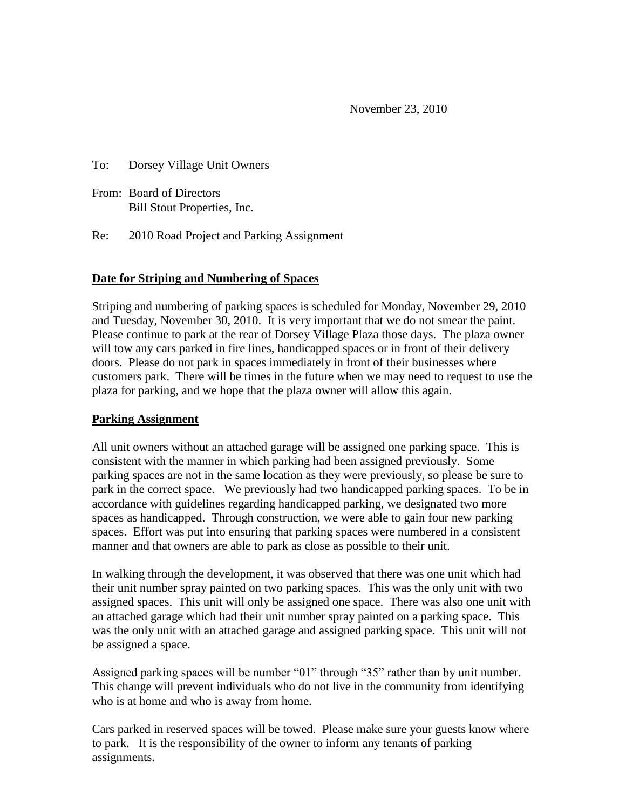November 23, 2010

To: Dorsey Village Unit Owners

From: Board of Directors Bill Stout Properties, Inc.

Re: 2010 Road Project and Parking Assignment

## **Date for Striping and Numbering of Spaces**

Striping and numbering of parking spaces is scheduled for Monday, November 29, 2010 and Tuesday, November 30, 2010. It is very important that we do not smear the paint. Please continue to park at the rear of Dorsey Village Plaza those days. The plaza owner will tow any cars parked in fire lines, handicapped spaces or in front of their delivery doors. Please do not park in spaces immediately in front of their businesses where customers park. There will be times in the future when we may need to request to use the plaza for parking, and we hope that the plaza owner will allow this again.

## **Parking Assignment**

All unit owners without an attached garage will be assigned one parking space. This is consistent with the manner in which parking had been assigned previously. Some parking spaces are not in the same location as they were previously, so please be sure to park in the correct space. We previously had two handicapped parking spaces. To be in accordance with guidelines regarding handicapped parking, we designated two more spaces as handicapped. Through construction, we were able to gain four new parking spaces. Effort was put into ensuring that parking spaces were numbered in a consistent manner and that owners are able to park as close as possible to their unit.

In walking through the development, it was observed that there was one unit which had their unit number spray painted on two parking spaces. This was the only unit with two assigned spaces. This unit will only be assigned one space. There was also one unit with an attached garage which had their unit number spray painted on a parking space. This was the only unit with an attached garage and assigned parking space. This unit will not be assigned a space.

Assigned parking spaces will be number "01" through "35" rather than by unit number. This change will prevent individuals who do not live in the community from identifying who is at home and who is away from home.

Cars parked in reserved spaces will be towed. Please make sure your guests know where to park. It is the responsibility of the owner to inform any tenants of parking assignments.